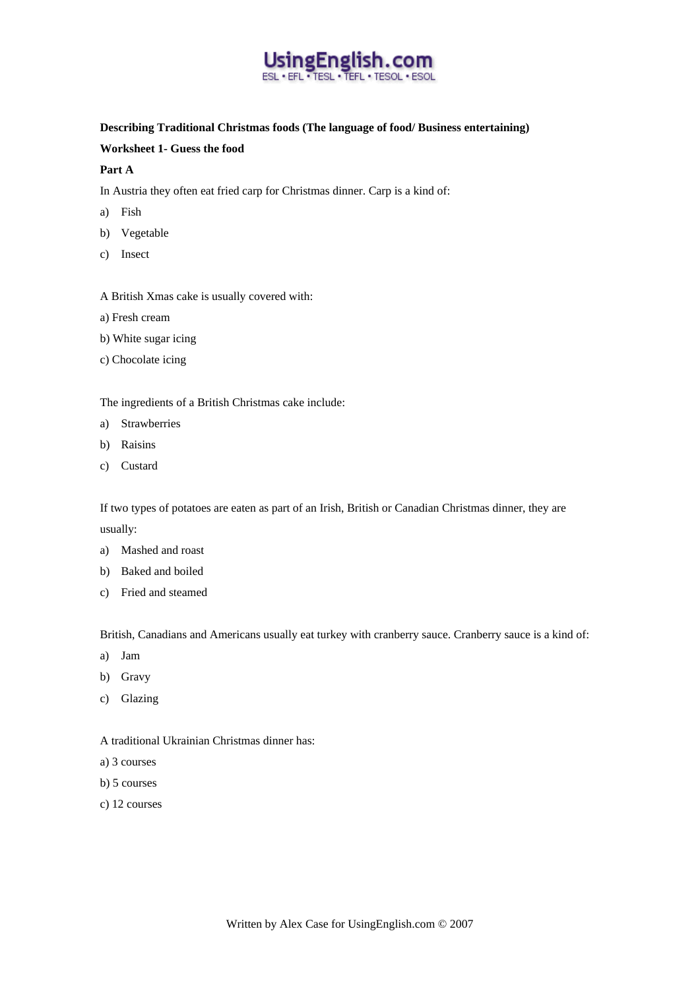

#### **Describing Traditional Christmas foods (The language of food/ Business entertaining)**

## **Worksheet 1- Guess the food**

### **Part A**

In Austria they often eat fried carp for Christmas dinner. Carp is a kind of:

- a) Fish
- b) Vegetable
- c) Insect
- A British Xmas cake is usually covered with:
- a) Fresh cream
- b) White sugar icing
- c) Chocolate icing

The ingredients of a British Christmas cake include:

- a) Strawberries
- b) Raisins
- c) Custard

If two types of potatoes are eaten as part of an Irish, British or Canadian Christmas dinner, they are usually:

- a) Mashed and roast
- b) Baked and boiled
- c) Fried and steamed

British, Canadians and Americans usually eat turkey with cranberry sauce. Cranberry sauce is a kind of:

- a) Jam
- b) Gravy
- c) Glazing

## A traditional Ukrainian Christmas dinner has:

- a) 3 courses
- b) 5 courses
- c) 12 courses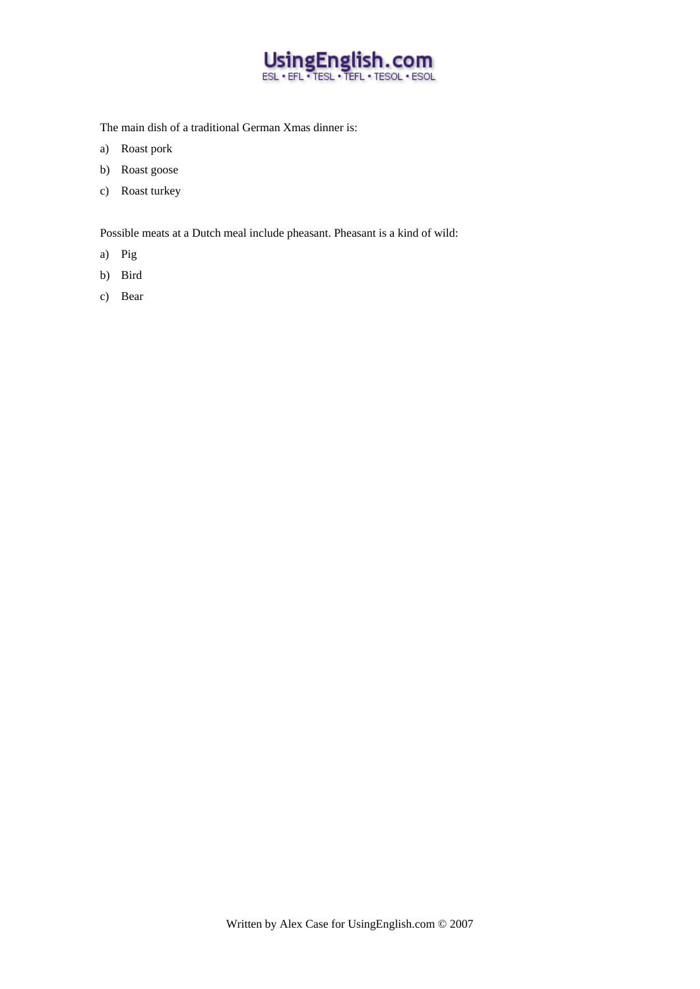

The main dish of a traditional German Xmas dinner is:

- a) Roast pork
- b) Roast goose
- c) Roast turkey

Possible meats at a Dutch meal include pheasant. Pheasant is a kind of wild:

- a) Pig
- b) Bird
- c) Bear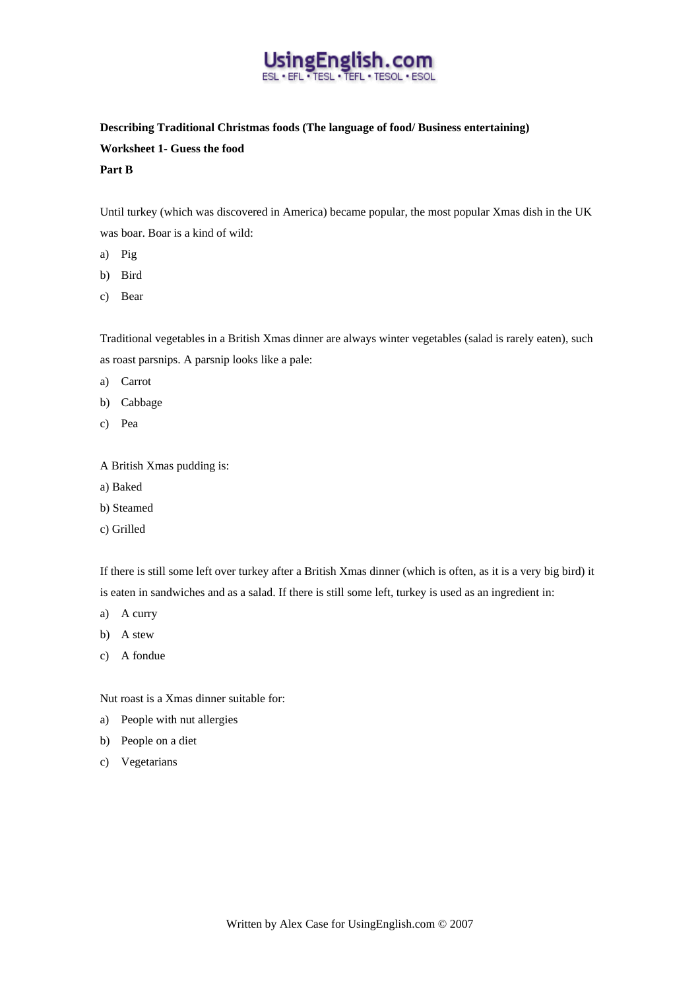

## **Describing Traditional Christmas foods (The language of food/ Business entertaining) Worksheet 1- Guess the food**

#### **Part B**

Until turkey (which was discovered in America) became popular, the most popular Xmas dish in the UK was boar. Boar is a kind of wild:

- a) Pig
- b) Bird
- c) Bear

Traditional vegetables in a British Xmas dinner are always winter vegetables (salad is rarely eaten), such as roast parsnips. A parsnip looks like a pale:

- a) Carrot
- b) Cabbage
- c) Pea

A British Xmas pudding is:

- a) Baked
- b) Steamed
- c) Grilled

If there is still some left over turkey after a British Xmas dinner (which is often, as it is a very big bird) it is eaten in sandwiches and as a salad. If there is still some left, turkey is used as an ingredient in:

- a) A curry
- b) A stew
- c) A fondue

Nut roast is a Xmas dinner suitable for:

- a) People with nut allergies
- b) People on a diet
- c) Vegetarians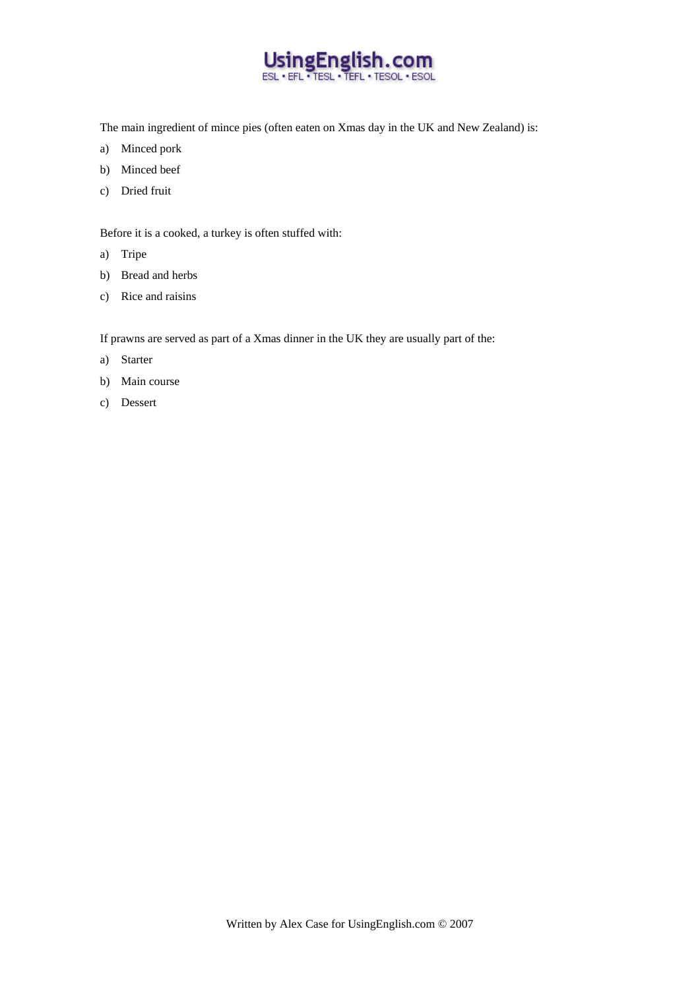

The main ingredient of mince pies (often eaten on Xmas day in the UK and New Zealand) is:

- a) Minced pork
- b) Minced beef
- c) Dried fruit

Before it is a cooked, a turkey is often stuffed with:

- a) Tripe
- b) Bread and herbs
- c) Rice and raisins

If prawns are served as part of a Xmas dinner in the UK they are usually part of the:

- a) Starter
- b) Main course
- c) Dessert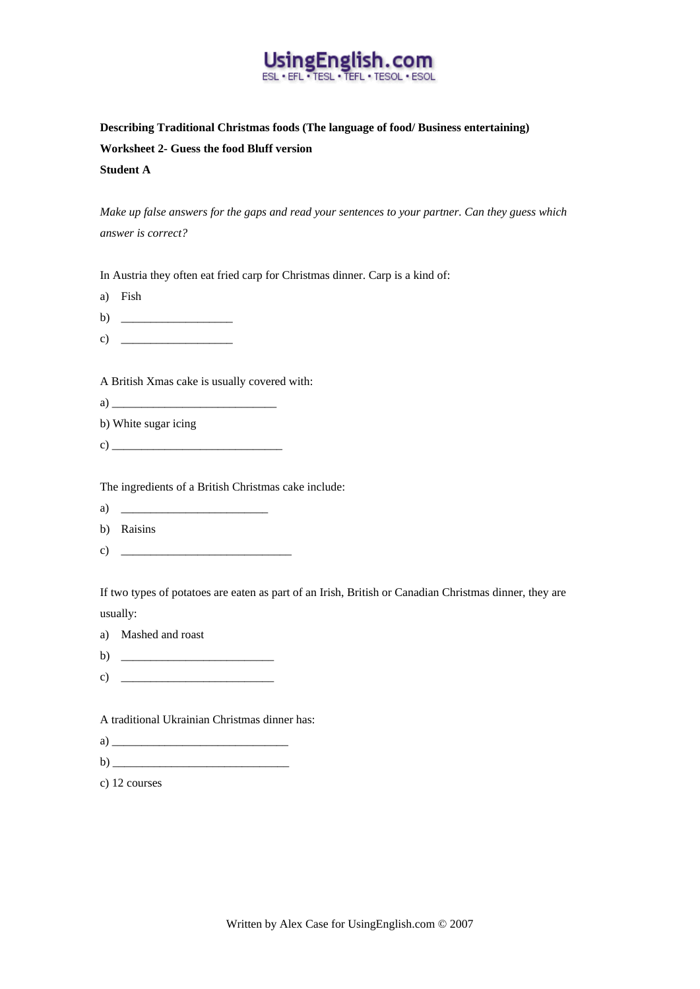

**Describing Traditional Christmas foods (The language of food/ Business entertaining) Worksheet 2- Guess the food Bluff version Student A** 

*Make up false answers for the gaps and read your sentences to your partner. Can they guess which answer is correct?* 

In Austria they often eat fried carp for Christmas dinner. Carp is a kind of:

- a) Fish
- b)  $\frac{1}{2}$   $\frac{1}{2}$   $\frac{1}{2}$   $\frac{1}{2}$   $\frac{1}{2}$   $\frac{1}{2}$   $\frac{1}{2}$   $\frac{1}{2}$   $\frac{1}{2}$   $\frac{1}{2}$   $\frac{1}{2}$   $\frac{1}{2}$   $\frac{1}{2}$   $\frac{1}{2}$   $\frac{1}{2}$   $\frac{1}{2}$   $\frac{1}{2}$   $\frac{1}{2}$   $\frac{1}{2}$   $\frac{1}{2}$   $\frac{1}{2}$   $\frac{1}{2}$
- c)  $\qquad \qquad$

A British Xmas cake is usually covered with:

a)  $\qquad \qquad \qquad$ 

b) White sugar icing

 $c)$   $\overline{\phantom{a}}$ 

The ingredients of a British Christmas cake include:

a)  $\frac{1}{\sqrt{1-\frac{1}{2}}\sqrt{1-\frac{1}{2}}\sqrt{1-\frac{1}{2}}\sqrt{1-\frac{1}{2}}\sqrt{1-\frac{1}{2}}\sqrt{1-\frac{1}{2}}\sqrt{1-\frac{1}{2}}\sqrt{1-\frac{1}{2}}\sqrt{1-\frac{1}{2}}\sqrt{1-\frac{1}{2}}\sqrt{1-\frac{1}{2}}\sqrt{1-\frac{1}{2}}\sqrt{1-\frac{1}{2}}\sqrt{1-\frac{1}{2}}\sqrt{1-\frac{1}{2}}\sqrt{1-\frac{1}{2}}\sqrt{1-\frac{1}{2}}\sqrt{1-\frac{1}{2}}\sqrt{1-\frac{1}{2}}\sqrt{$ 

b) Raisins

c)  $\qquad$ 

If two types of potatoes are eaten as part of an Irish, British or Canadian Christmas dinner, they are usually:

- a) Mashed and roast
- b)  $\qquad \qquad$
- $c)$

A traditional Ukrainian Christmas dinner has:

- a)  $\overline{\phantom{a}}$
- b) \_\_\_\_\_\_\_\_\_\_\_\_\_\_\_\_\_\_\_\_\_\_\_\_\_\_\_\_\_\_

c) 12 courses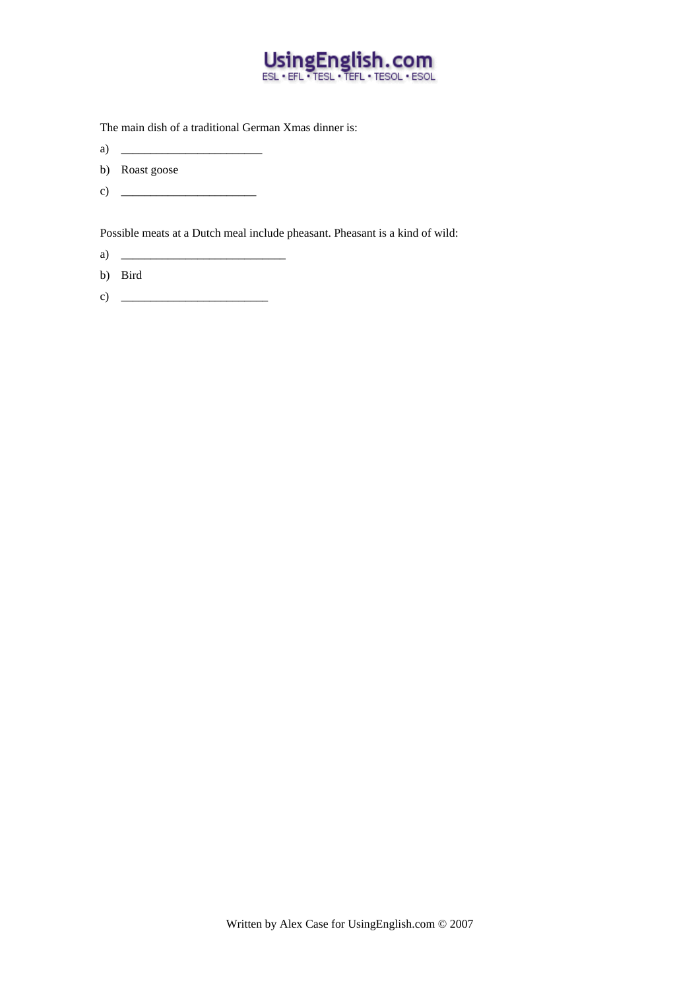

The main dish of a traditional German Xmas dinner is:

- a)  $\frac{1}{\sqrt{1-\frac{1}{2}}}\left\{ \frac{1}{2}, \frac{1}{2}, \frac{1}{2}, \frac{1}{2}, \frac{1}{2}, \frac{1}{2}, \frac{1}{2}, \frac{1}{2}, \frac{1}{2}, \frac{1}{2}, \frac{1}{2}, \frac{1}{2}, \frac{1}{2}, \frac{1}{2}, \frac{1}{2}, \frac{1}{2}, \frac{1}{2}, \frac{1}{2}, \frac{1}{2}, \frac{1}{2}, \frac{1}{2}, \frac{1}{2}, \frac{1}{2}, \frac{1}{2}, \frac{1}{2}, \frac{1}{2}, \frac{1}{2}, \frac{1}{2}, \$
- b) Roast goose
- c)  $\qquad \qquad$

Possible meats at a Dutch meal include pheasant. Pheasant is a kind of wild:

- a) \_\_\_\_\_\_\_\_\_\_\_\_\_\_\_\_\_\_\_\_\_\_\_\_\_\_\_\_
- b) Bird
- c)  $\qquad \qquad$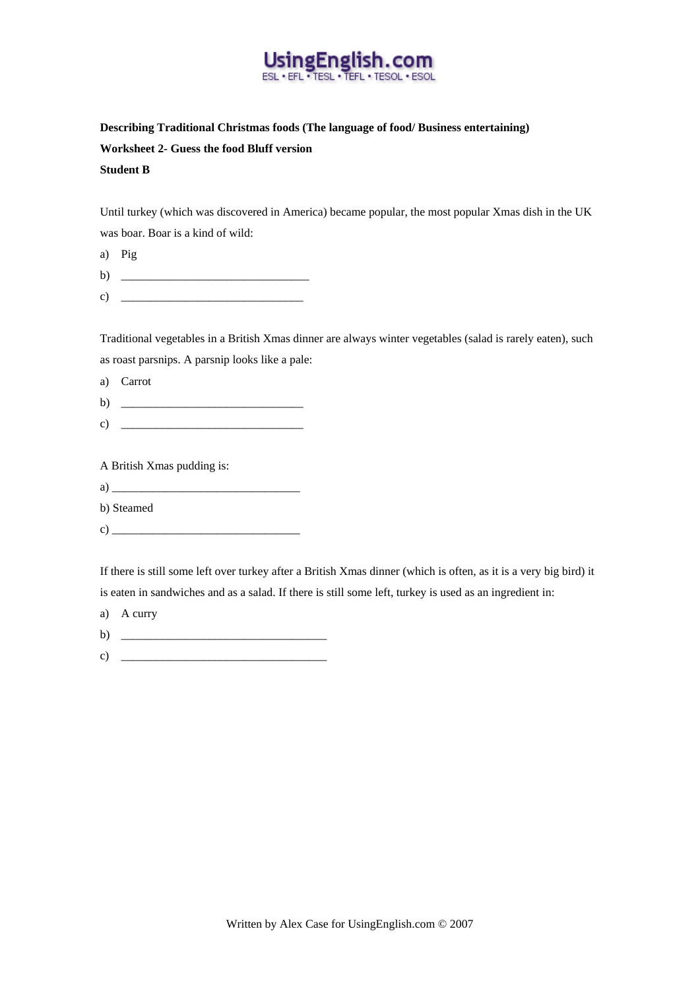

## **Describing Traditional Christmas foods (The language of food/ Business entertaining) Worksheet 2- Guess the food Bluff version Student B**

Until turkey (which was discovered in America) became popular, the most popular Xmas dish in the UK was boar. Boar is a kind of wild:

|              | a) Pig |
|--------------|--------|
| $\mathbf{b}$ |        |

c)  $\overline{\phantom{a}}$ 

Traditional vegetables in a British Xmas dinner are always winter vegetables (salad is rarely eaten), such as roast parsnips. A parsnip looks like a pale:

a) Carrot

b) \_\_\_\_\_\_\_\_\_\_\_\_\_\_\_\_\_\_\_\_\_\_\_\_\_\_\_\_\_\_\_

 $c)$ 

A British Xmas pudding is:

| $\epsilon$ |  |
|------------|--|
|            |  |

b) Steamed

c)  $\overline{\phantom{a}}$ 

If there is still some left over turkey after a British Xmas dinner (which is often, as it is a very big bird) it is eaten in sandwiches and as a salad. If there is still some left, turkey is used as an ingredient in:

- a) A curry
- b)  $\qquad \qquad$
- c)  $\overline{\phantom{a}}$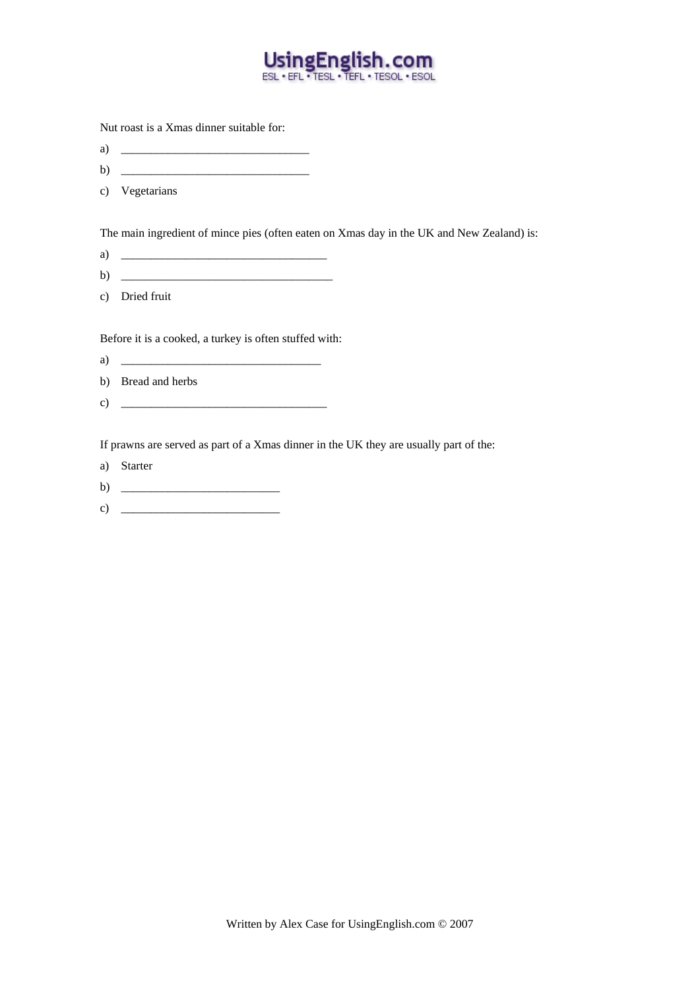

Nut roast is a Xmas dinner suitable for:

- a)  $\Box$
- b) \_\_\_\_\_\_\_\_\_\_\_\_\_\_\_\_\_\_\_\_\_\_\_\_\_\_\_\_\_\_\_\_
- c) Vegetarians

The main ingredient of mince pies (often eaten on Xmas day in the UK and New Zealand) is:

- a)  $\Box$
- b)  $\Box$
- c) Dried fruit

Before it is a cooked, a turkey is often stuffed with:

- a) <u>\_\_\_\_\_\_\_\_\_\_\_\_\_\_\_\_\_\_\_\_\_\_\_\_\_\_\_\_\_\_\_\_\_\_</u>
- b) Bread and herbs
- c)  $\Box$

If prawns are served as part of a Xmas dinner in the UK they are usually part of the:

- a) Starter
- b)  $\frac{1}{2}$   $\frac{1}{2}$   $\frac{1}{2}$   $\frac{1}{2}$   $\frac{1}{2}$   $\frac{1}{2}$   $\frac{1}{2}$   $\frac{1}{2}$   $\frac{1}{2}$   $\frac{1}{2}$   $\frac{1}{2}$   $\frac{1}{2}$   $\frac{1}{2}$   $\frac{1}{2}$   $\frac{1}{2}$   $\frac{1}{2}$   $\frac{1}{2}$   $\frac{1}{2}$   $\frac{1}{2}$   $\frac{1}{2}$   $\frac{1}{2}$   $\frac{1}{2}$
- c)  $\overline{\phantom{a}}$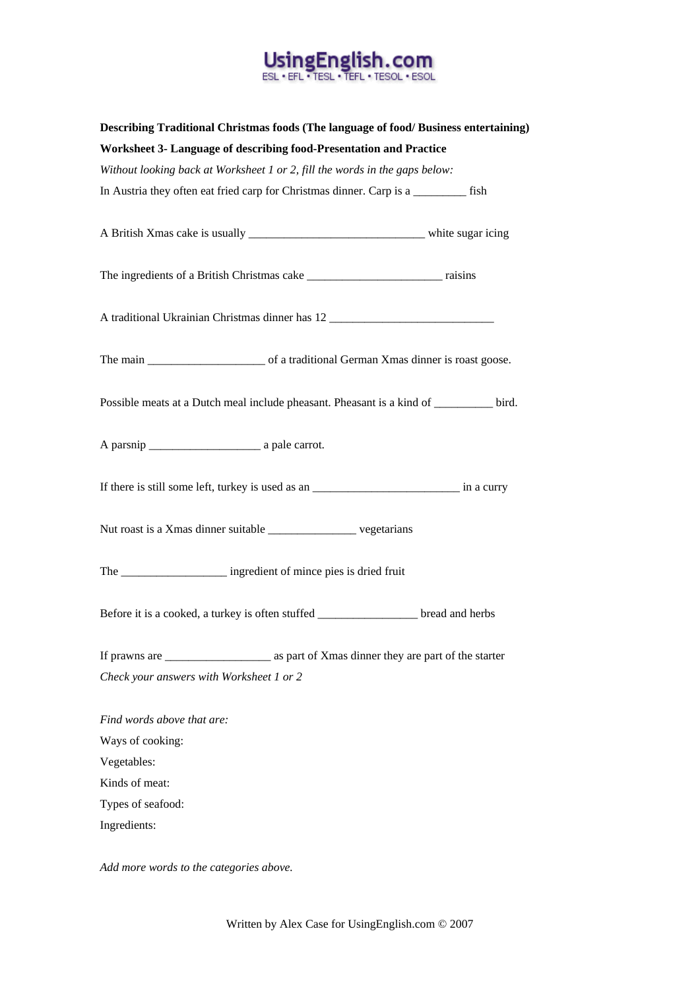# Using English.com

| Describing Traditional Christmas foods (The language of food/Business entertaining)          |  |
|----------------------------------------------------------------------------------------------|--|
| Worksheet 3- Language of describing food-Presentation and Practice                           |  |
| Without looking back at Worksheet 1 or 2, fill the words in the gaps below:                  |  |
| In Austria they often eat fried carp for Christmas dinner. Carp is a _________ fish          |  |
|                                                                                              |  |
|                                                                                              |  |
| A traditional Ukrainian Christmas dinner has 12                                              |  |
|                                                                                              |  |
| Possible meats at a Dutch meal include pheasant. Pheasant is a kind of watch bird.           |  |
|                                                                                              |  |
| If there is still some left, turkey is used as an _______________________________ in a curry |  |
| Nut roast is a Xmas dinner suitable __________________ vegetarians                           |  |
| The _______________________ ingredient of mince pies is dried fruit                          |  |
| Before it is a cooked, a turkey is often stuffed __________________ bread and herbs          |  |
|                                                                                              |  |
| Check your answers with Worksheet 1 or 2                                                     |  |
| Find words above that are:                                                                   |  |
| Ways of cooking:                                                                             |  |
| Vegetables:                                                                                  |  |
| Kinds of meat:                                                                               |  |
| Types of seafood:                                                                            |  |
| Ingredients:                                                                                 |  |

*Add more words to the categories above.*